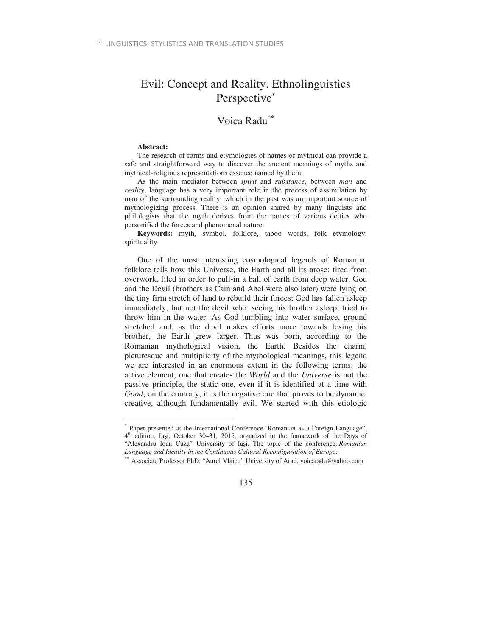# Evil: Concept and Reality. Ethnolinguistics Perspective<sup>\*</sup>

## Voica Radu∗∗

#### **Abstract:**

 $\overline{a}$ 

The research of forms and etymologies of names of mythical can provide a safe and straightforward way to discover the ancient meanings of myths and mythical-religious representations essence named by them.

As the main mediator between *spirit* and *substance*, between *man* and *reality*, language has a very important role in the process of assimilation by man of the surrounding reality, which in the past was an important source of mythologizing process. There is an opinion shared by many linguists and philologists that the myth derives from the names of various deities who personified the forces and phenomenal nature.

**Keywords:** myth, symbol, folklore, taboo words, folk etymology, spirituality

One of the most interesting cosmological legends of Romanian folklore tells how this Universe, the Earth and all its arose: tired from overwork, filed in order to pull-in a ball of earth from deep water, God and the Devil (brothers as Cain and Abel were also later) were lying on the tiny firm stretch of land to rebuild their forces; God has fallen asleep immediately, but not the devil who, seeing his brother asleep, tried to throw him in the water. As God tumbling into water surface, ground stretched and, as the devil makes efforts more towards losing his brother, the Earth grew larger. Thus was born, according to the Romanian mythological vision, the Earth. Besides the charm, picturesque and multiplicity of the mythological meanings, this legend we are interested in an enormous extent in the following terms: the active element, one that creates the *World* and the *Universe* is not the passive principle, the static one, even if it is identified at a time with *Good*, on the contrary, it is the negative one that proves to be dynamic, creative, although fundamentally evil. We started with this etiologic

<sup>∗</sup> Paper presented at the International Conference "Romanian as a Foreign Language", 4<sup>th</sup> edition, Iași, October 30–31, 2015, organized in the framework of the Days of "Alexandru Ioan Cuza" University of Iasi. The topic of the conference: *Romanian Language and Identity in the Continuous Cultural Reconfiguration of Europe*.

<sup>∗∗</sup> Associate Professor PhD, "Aurel Vlaicu" University of Arad, voicaradu@yahoo.com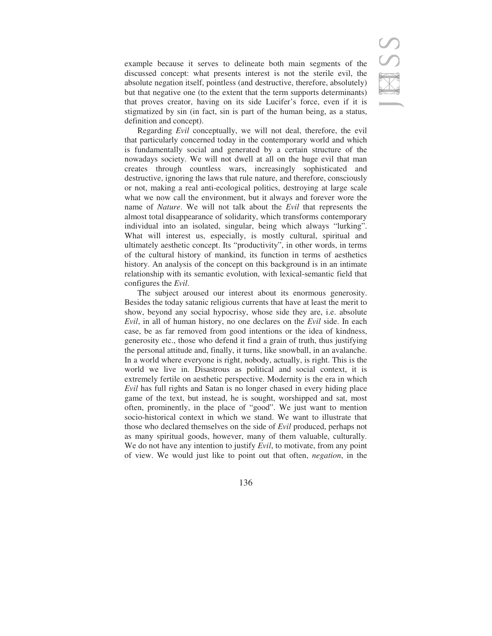example because it serves to delineate both main segments of the discussed concept: what presents interest is not the sterile evil, the absolute negation itself, pointless (and destructive, therefore, absolutely) but that negative one (to the extent that the term supports determinants) that proves creator, having on its side Lucifer's force, even if it is stigmatized by sin (in fact, sin is part of the human being, as a status, definition and concept).

Regarding *Evil* conceptually, we will not deal, therefore, the evil that particularly concerned today in the contemporary world and which is fundamentally social and generated by a certain structure of the nowadays society. We will not dwell at all on the huge evil that man creates through countless wars, increasingly sophisticated and destructive, ignoring the laws that rule nature, and therefore, consciously or not, making a real anti-ecological politics, destroying at large scale what we now call the environment, but it always and forever wore the name of *Nature*. We will not talk about the *Evil* that represents the almost total disappearance of solidarity, which transforms contemporary individual into an isolated, singular, being which always "lurking". What will interest us, especially, is mostly cultural, spiritual and ultimately aesthetic concept. Its "productivity", in other words, in terms of the cultural history of mankind, its function in terms of aesthetics history. An analysis of the concept on this background is in an intimate relationship with its semantic evolution, with lexical-semantic field that configures the *Evil*.

The subject aroused our interest about its enormous generosity. Besides the today satanic religious currents that have at least the merit to show, beyond any social hypocrisy, whose side they are, i.e. absolute *Evil*, in all of human history, no one declares on the *Evil* side. In each case, be as far removed from good intentions or the idea of kindness, generosity etc., those who defend it find a grain of truth, thus justifying the personal attitude and, finally, it turns, like snowball, in an avalanche. In a world where everyone is right, nobody, actually, is right. This is the world we live in. Disastrous as political and social context, it is extremely fertile on aesthetic perspective. Modernity is the era in which *Evil* has full rights and Satan is no longer chased in every hiding place game of the text, but instead, he is sought, worshipped and sat, most often, prominently, in the place of "good". We just want to mention socio-historical context in which we stand. We want to illustrate that those who declared themselves on the side of *Evil* produced, perhaps not as many spiritual goods, however, many of them valuable, culturally. We do not have any intention to justify *Evil*, to motivate, from any point of view. We would just like to point out that often, *negation*, in the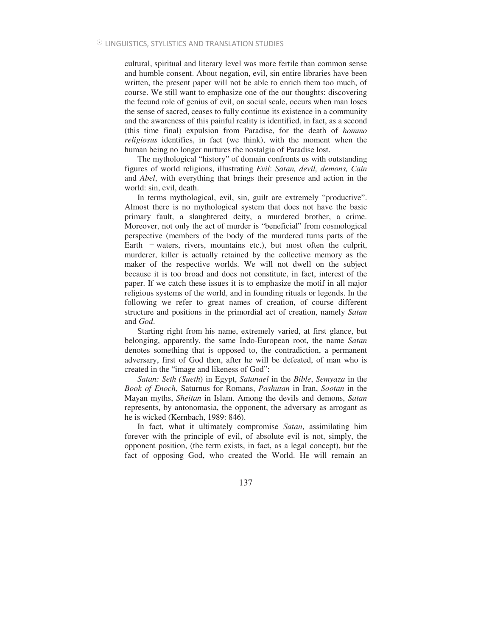cultural, spiritual and literary level was more fertile than common sense and humble consent. About negation, evil, sin entire libraries have been written, the present paper will not be able to enrich them too much, of course. We still want to emphasize one of the our thoughts: discovering the fecund role of genius of evil, on social scale, occurs when man loses the sense of sacred, ceases to fully continue its existence in a community and the awareness of this painful reality is identified, in fact, as a second (this time final) expulsion from Paradise, for the death of *hommo religiosus* identifies, in fact (we think), with the moment when the human being no longer nurtures the nostalgia of Paradise lost.

The mythological "history" of domain confronts us with outstanding figures of world religions, illustrating *Evil*: *Satan, devil, demons, Cain* and *Abel*, with everything that brings their presence and action in the world: sin, evil, death.

In terms mythological, evil, sin, guilt are extremely "productive". Almost there is no mythological system that does not have the basic primary fault, a slaughtered deity, a murdered brother, a crime. Moreover, not only the act of murder is "beneficial" from cosmological perspective (members of the body of the murdered turns parts of the Earth  $-$  waters, rivers, mountains etc.), but most often the culprit, murderer, killer is actually retained by the collective memory as the maker of the respective worlds. We will not dwell on the subject because it is too broad and does not constitute, in fact, interest of the paper. If we catch these issues it is to emphasize the motif in all major religious systems of the world, and in founding rituals or legends. In the following we refer to great names of creation, of course different structure and positions in the primordial act of creation, namely *Satan* and *God*.

Starting right from his name, extremely varied, at first glance, but belonging, apparently, the same Indo-European root, the name *Satan* denotes something that is opposed to, the contradiction, a permanent adversary, first of God then, after he will be defeated, of man who is created in the "image and likeness of God":

*Satan: Seth (Sueth*) in Egypt, *Satanael* in the *Bible*, *Semyaza* in the *Book of Enoch*, Saturnus for Romans, *Pashutan* in Iran, *Sootan* in the Mayan myths, *Sheitan* in Islam. Among the devils and demons, *Satan* represents, by antonomasia, the opponent, the adversary as arrogant as he is wicked (Kernbach, 1989: 846).

In fact, what it ultimately compromise *Satan*, assimilating him forever with the principle of evil, of absolute evil is not, simply, the opponent position, (the term exists, in fact, as a legal concept), but the fact of opposing God, who created the World. He will remain an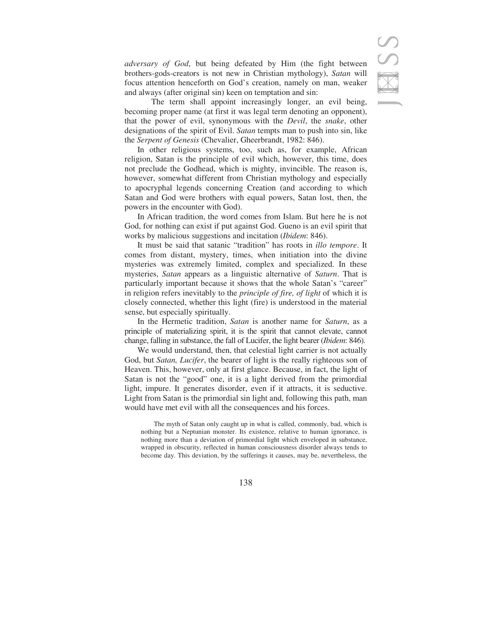*adversary of God*, but being defeated by Him (the fight between brothers-gods-creators is not new in Christian mythology), *Satan* will focus attention henceforth on God's creation, namely on man, weaker and always (after original sin) keen on temptation and sin:

 The term shall appoint increasingly longer, an evil being, becoming proper name (at first it was legal term denoting an opponent), that the power of evil, synonymous with the *Devil*, the *snake*, other designations of the spirit of Evil. *Satan* tempts man to push into sin, like the *Serpent of Genesis* (Chevalier, Gheerbrandt, 1982: 846).

In other religious systems, too, such as, for example, African religion, Satan is the principle of evil which, however, this time, does not preclude the Godhead, which is mighty, invincible. The reason is, however, somewhat different from Christian mythology and especially to apocryphal legends concerning Creation (and according to which Satan and God were brothers with equal powers, Satan lost, then, the powers in the encounter with God).

In African tradition, the word comes from Islam. But here he is not God, for nothing can exist if put against God. Gueno is an evil spirit that works by malicious suggestions and incitation (*Ibidem*: 846).

It must be said that satanic "tradition" has roots in *illo tempore*. It comes from distant, mystery, times, when initiation into the divine mysteries was extremely limited, complex and specialized. In these mysteries, *Satan* appears as a linguistic alternative of *Saturn*. That is particularly important because it shows that the whole Satan's "career" in religion refers inevitably to the *principle of fire, of light* of which it is closely connected, whether this light (fire) is understood in the material sense, but especially spiritually.

In the Hermetic tradition, *Satan* is another name for *Saturn*, as a principle of materializing spirit, it is the spirit that cannot elevate, cannot change, falling in substance, the fall of Lucifer, the light bearer (*Ibidem*: 846).

We would understand, then, that celestial light carrier is not actually God, but *Satan, Lucifer*, the bearer of light is the really righteous son of Heaven. This, however, only at first glance. Because, in fact, the light of Satan is not the "good" one, it is a light derived from the primordial light, impure. It generates disorder, even if it attracts, it is seductive. Light from Satan is the primordial sin light and, following this path, man would have met evil with all the consequences and his forces.

The myth of Satan only caught up in what is called, commonly, bad, which is nothing but a Neptunian monster. Its existence, relative to human ignorance, is nothing more than a deviation of primordial light which enveloped in substance, wrapped in obscurity, reflected in human consciousness disorder always tends to become day. This deviation, by the sufferings it causes, may be, nevertheless, the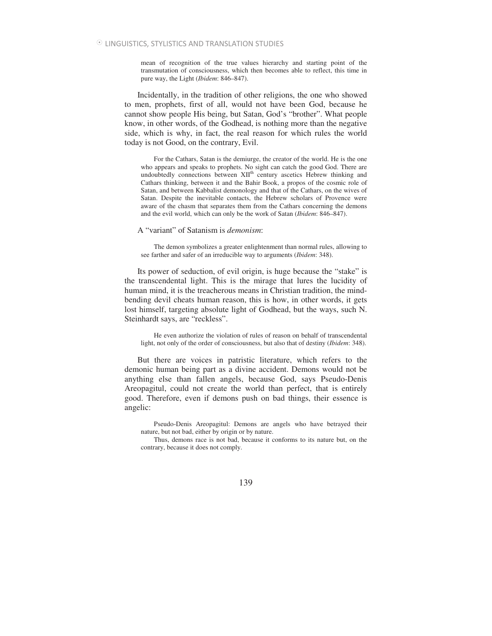mean of recognition of the true values hierarchy and starting point of the transmutation of consciousness, which then becomes able to reflect, this time in pure way, the Light (*Ibidem*: 846–847).

Incidentally, in the tradition of other religions, the one who showed to men, prophets, first of all, would not have been God, because he cannot show people His being, but Satan, God's "brother". What people know, in other words, of the Godhead, is nothing more than the negative side, which is why, in fact, the real reason for which rules the world today is not Good, on the contrary, Evil.

For the Cathars, Satan is the demiurge, the creator of the world. He is the one who appears and speaks to prophets. No sight can catch the good God. There are undoubtedly connections between XII<sup>th</sup> century ascetics Hebrew thinking and Cathars thinking, between it and the Bahir Book, a propos of the cosmic role of Satan, and between Kabbalist demonology and that of the Cathars, on the wives of Satan. Despite the inevitable contacts, the Hebrew scholars of Provence were aware of the chasm that separates them from the Cathars concerning the demons and the evil world, which can only be the work of Satan (*Ibidem*: 846–847).

A "variant" of Satanism is *demonism*:

The demon symbolizes a greater enlightenment than normal rules, allowing to see farther and safer of an irreducible way to arguments (*Ibidem*: 348).

Its power of seduction, of evil origin, is huge because the "stake" is the transcendental light. This is the mirage that lures the lucidity of human mind, it is the treacherous means in Christian tradition, the mindbending devil cheats human reason, this is how, in other words, it gets lost himself, targeting absolute light of Godhead, but the ways, such N. Steinhardt says, are "reckless".

He even authorize the violation of rules of reason on behalf of transcendental light, not only of the order of consciousness, but also that of destiny (*Ibidem*: 348).

But there are voices in patristic literature, which refers to the demonic human being part as a divine accident. Demons would not be anything else than fallen angels, because God, says Pseudo-Denis Areopagitul, could not create the world than perfect, that is entirely good. Therefore, even if demons push on bad things, their essence is angelic:

Pseudo-Denis Areopagitul: Demons are angels who have betrayed their nature, but not bad, either by origin or by nature.

Thus, demons race is not bad, because it conforms to its nature but, on the contrary, because it does not comply.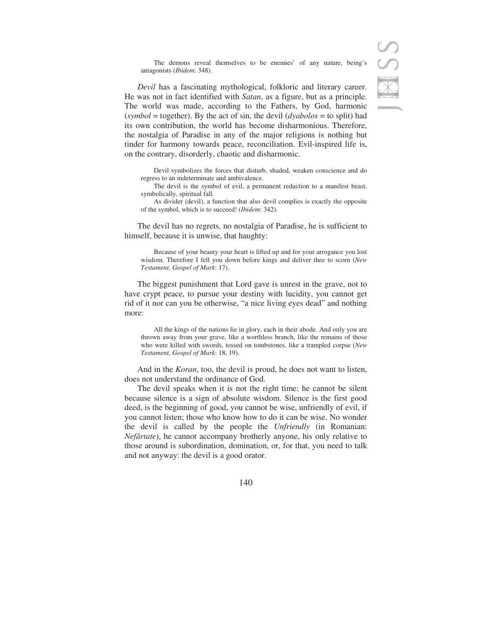The demons reveal themselves to be enemies' of any nature, being's antagonists (*Ibidem*: 348).

*Devil* has a fascinating mythological, folkloric and literary career. He was not in fact identified with *Satan*, as a figure, but as a principle. The world was made, according to the Fathers, by God, harmonic (*symbol* = together). By the act of sin, the devil (*dyabolos* = to split) had its own contribution, the world has become disharmonious. Therefore, the nostalgia of Paradise in any of the major religions is nothing but tinder for harmony towards peace, reconciliation. Evil-inspired life is, on the contrary, disorderly, chaotic and disharmonic.

Devil symbolizes the forces that disturb, shaded, weaken conscience and do regress to an indeterminate and ambivalence.

The devil is the symbol of evil, a permanent reduction to a manifest beast, symbolically, spiritual fall.

As divider (devil), a function that also devil complies is exactly the opposite of the symbol, which is to succeed! (*Ibidem*: 342).

The devil has no regrets, no nostalgia of Paradise, he is sufficient to himself, because it is unwise, that haughty:

Because of your beauty your heart is lifted up and for your arrogance you lost wisdom. Therefore I fell you down before kings and deliver thee to scorn (*New Testament, Gospel of Mark*: 17).

The biggest punishment that Lord gave is unrest in the grave, not to have crypt peace, to pursue your destiny with lucidity, you cannot get rid of it nor can you be otherwise, "a nice living eyes dead" and nothing more:

All the kings of the nations lie in glory, each in their abode. And only you are thrown away from your grave, like a worthless branch, like the remains of those who were killed with swords, tossed on tombstones, like a trampled corpse (*New Testament, Gospel of Mark*: 18, 19).

And in the *Koran*, too, the devil is proud, he does not want to listen, does not understand the ordinance of God.

The devil speaks when it is not the right time; he cannot be silent because silence is a sign of absolute wisdom. Silence is the first good deed, is the beginning of good, you cannot be wise, unfriendly of evil, if you cannot listen; those who know how to do it can be wise. No wonder the devil is called by the people the *Unfriendly* (in Romanian: *Nefârtate*), he cannot accompany brotherly anyone, his only relative to those around is subordination, domination, or, for that, you need to talk and not anyway: the devil is a good orator.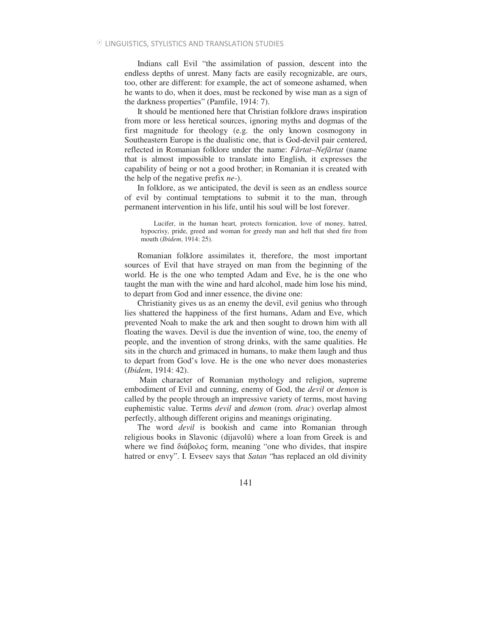Indians call Evil "the assimilation of passion, descent into the endless depths of unrest. Many facts are easily recognizable, are ours, too, other are different: for example, the act of someone ashamed, when he wants to do, when it does, must be reckoned by wise man as a sign of the darkness properties" (Pamfile, 1914: 7).

It should be mentioned here that Christian folklore draws inspiration from more or less heretical sources, ignoring myths and dogmas of the first magnitude for theology (e.g. the only known cosmogony in Southeastern Europe is the dualistic one, that is God-devil pair centered, reflected in Romanian folklore under the name: *Fârtat–Nefârtat* (name that is almost impossible to translate into English, it expresses the capability of being or not a good brother; in Romanian it is created with the help of the negative prefix *ne-*).

In folklore, as we anticipated, the devil is seen as an endless source of evil by continual temptations to submit it to the man, through permanent intervention in his life, until his soul will be lost forever.

Lucifer, in the human heart, protects fornication, love of money, hatred, hypocrisy, pride, greed and woman for greedy man and hell that shed fire from mouth (*Ibidem*, 1914: 25).

Romanian folklore assimilates it, therefore, the most important sources of Evil that have strayed on man from the beginning of the world. He is the one who tempted Adam and Eve, he is the one who taught the man with the wine and hard alcohol, made him lose his mind, to depart from God and inner essence, the divine one:

Christianity gives us as an enemy the devil, evil genius who through lies shattered the happiness of the first humans, Adam and Eve, which prevented Noah to make the ark and then sought to drown him with all floating the waves. Devil is due the invention of wine, too, the enemy of people, and the invention of strong drinks, with the same qualities. He sits in the church and grimaced in humans, to make them laugh and thus to depart from God's love. He is the one who never does monasteries (*Ibidem*, 1914: 42).

 Main character of Romanian mythology and religion, supreme embodiment of Evil and cunning, enemy of God, the *devil* or *demon* is called by the people through an impressive variety of terms, most having euphemistic value. Terms *devil* and *demon* (rom. *drac*) overlap almost perfectly, although different origins and meanings originating.

The word *devil* is bookish and came into Romanian through religious books in Slavonic (dijavolŭ) where a loan from Greek is and where we find  $\delta \alpha \beta \delta \alpha \zeta$  form, meaning "one who divides, that inspire hatred or envy". I. Evseev says that *Satan* "has replaced an old divinity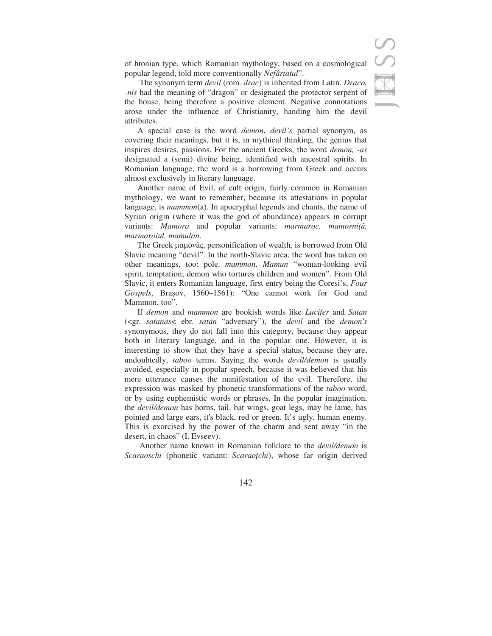of htonian type, which Romanian mythology, based on a cosmological popular legend, told more conventionally *Nefârtatul*".

 The synonym term *devil* (rom. *drac*) is inherited from Latin. *Draco, -nis* had the meaning of "dragon" or designated the protector serpent of the house, being therefore a positive element. Negative connotations arose under the influence of Christianity, handing him the devil attributes.

A special case is the word *demon*, *devil's* partial synonym, as covering their meanings, but it is, in mythical thinking, the genius that inspires desires, passions. For the ancient Greeks, the word *demon, -as* designated a (semi) divine being, identified with ancestral spirits. In Romanian language, the word is a borrowing from Greek and occurs almost exclusively in literary language.

Another name of Evil, of cult origin, fairly common in Romanian mythology, we want to remember, because its attestations in popular language, is *mammon*(a). In apocryphal legends and chants, the name of Syrian origin (where it was the god of abundance) appears in corrupt variants: *Mamora* and popular variants: *marmaroc*, *mamorniță*, *marmoroiul, mamulan*.

The Greek μαμονãς, personification of wealth, is borrowed from Old Slavic meaning "devil". In the north-Slavic area, the word has taken on other meanings, too: pole. *mammon, Mamun* "woman-looking evil spirit, temptation; demon who tortures children and women". From Old Slavic, it enters Romanian language, first entry being the Coresi's, *Four*  Gospels, Brasov, 1560–1561): "One cannot work for God and Mammon, too".

If *demon* and *mammon* are bookish words like *Lucifer* and *Satan*  (<gr. *satanas*< ebr. *satan* "adversary"), the *devil* and the *demon's*  synonymous, they do not fall into this category, because they appear both in literary language, and in the popular one. However, it is interesting to show that they have a special status, because they are, undoubtedly, *taboo* terms. Saying the words *devil/demon* is usually avoided, especially in popular speech, because it was believed that his mere utterance causes the manifestation of the evil. Therefore, the expression was masked by phonetic transformations of the *taboo* word, or by using euphemistic words or phrases. In the popular imagination, the *devil/demon* has horns, tail, bat wings, goat legs, may be lame, has pointed and large ears, it's black, red or green. It's ugly, human enemy. This is exorcised by the power of the charm and sent away "in the desert, in chaos" (I. Evseev).

 Another name known in Romanian folklore to the *devil/demon* is *Scaraoschi* (phonetic variant: *Scaraochi*), whose far origin derived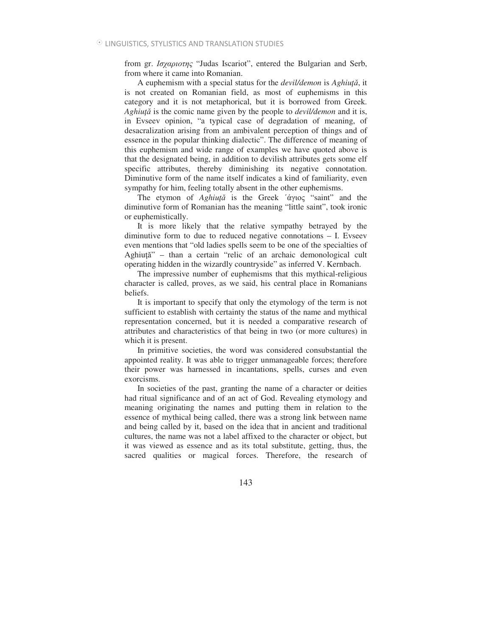from gr. *Ioχαριοτης* "Judas Iscariot", entered the Bulgarian and Serb, from where it came into Romanian.

A euphemism with a special status for the *devil/demon* is *Aghiu*, it is not created on Romanian field, as most of euphemisms in this category and it is not metaphorical, but it is borrowed from Greek. *Aghiu* is the comic name given by the people to *devil/demon* and it is, in Evseev opinion, "a typical case of degradation of meaning, of desacralization arising from an ambivalent perception of things and of essence in the popular thinking dialectic". The difference of meaning of this euphemism and wide range of examples we have quoted above is that the designated being, in addition to devilish attributes gets some elf specific attributes, thereby diminishing its negative connotation. Diminutive form of the name itself indicates a kind of familiarity, even sympathy for him, feeling totally absent in the other euphemisms.

The etymon of *Aghiută* is the Greek 'άγιος "saint" and the diminutive form of Romanian has the meaning "little saint", took ironic or euphemistically.

It is more likely that the relative sympathy betrayed by the diminutive form to due to reduced negative connotations – I. Evseev even mentions that "old ladies spells seem to be one of the specialties of Aghiuță" - than a certain "relic of an archaic demonological cult operating hidden in the wizardly countryside" as inferred V. Kernbach.

The impressive number of euphemisms that this mythical-religious character is called, proves, as we said, his central place in Romanians beliefs.

It is important to specify that only the etymology of the term is not sufficient to establish with certainty the status of the name and mythical representation concerned, but it is needed a comparative research of attributes and characteristics of that being in two (or more cultures) in which it is present.

In primitive societies, the word was considered consubstantial the appointed reality. It was able to trigger unmanageable forces; therefore their power was harnessed in incantations, spells, curses and even exorcisms.

In societies of the past, granting the name of a character or deities had ritual significance and of an act of God. Revealing etymology and meaning originating the names and putting them in relation to the essence of mythical being called, there was a strong link between name and being called by it, based on the idea that in ancient and traditional cultures, the name was not a label affixed to the character or object, but it was viewed as essence and as its total substitute, getting, thus, the sacred qualities or magical forces. Therefore, the research of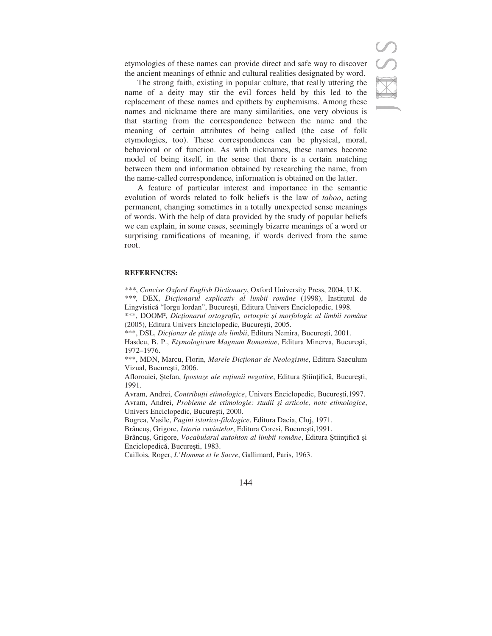etymologies of these names can provide direct and safe way to discover the ancient meanings of ethnic and cultural realities designated by word.

The strong faith, existing in popular culture, that really uttering the name of a deity may stir the evil forces held by this led to the replacement of these names and epithets by euphemisms. Among these names and nickname there are many similarities, one very obvious is that starting from the correspondence between the name and the meaning of certain attributes of being called (the case of folk etymologies, too). These correspondences can be physical, moral, behavioral or of function. As with nicknames, these names become model of being itself, in the sense that there is a certain matching between them and information obtained by researching the name, from the name-called correspondence, information is obtained on the latter.

A feature of particular interest and importance in the semantic evolution of words related to folk beliefs is the law of *taboo*, acting permanent, changing sometimes in a totally unexpected sense meanings of words. With the help of data provided by the study of popular beliefs we can explain, in some cases, seemingly bizarre meanings of a word or surprising ramifications of meaning, if words derived from the same root.

#### **REFERENCES:**

*\*\*\**, *Concise Oxford English Dictionary*, Oxford University Press, 2004, U.K. *\*\*\*,* DEX, *Dicionarul explicativ al limbii române* (1998), Institutul de Lingvistică "Iorgu Iordan", București, Editura Univers Enciclopedic, 1998.

\*\*\*, DOOM², *Dicionarul ortografic, ortoepic -i morfologic al limbii române* (2005), Editura Univers Enciclopedic, București, 2005.

\*\*\*, DSL, *Dicționar de științe ale limbii*, Editura Nemira, București, 2001.

Hasdeu, B. P., *Etymologicum Magnum Romaniae*, Editura Minerva, București, 1972–1976.

\*\*\*, MDN, Marcu, Florin, *Marele Dic1ionar de Neologisme*, Editura Saeculum Vizual, București, 2006.

Afloroaiei, Ștefan, *Ipostaze ale rațiunii negative*, Editura Științifică, București, 1991.

Avram, Andrei, *Contribuții etimologice*, Univers Enciclopedic, București, 1997. Avram, Andrei, *Probleme de etimologie: studii -i articole, note etimologice*, Univers Enciclopedic, Bucuresti, 2000.

Bogrea, Vasile, *Pagini istorico-filologice*, Editura Dacia, Cluj, 1971.

Brâncuș, Grigore, *Istoria cuvintelor*, Editura Coresi, București, 1991.

Brâncuș, Grigore, Vocabularul autohton al limbii române, Editura Științifică și Enciclopedică, București, 1983.

Caillois, Roger, *L'Homme et le Sacre*, Gallimard, Paris, 1963.